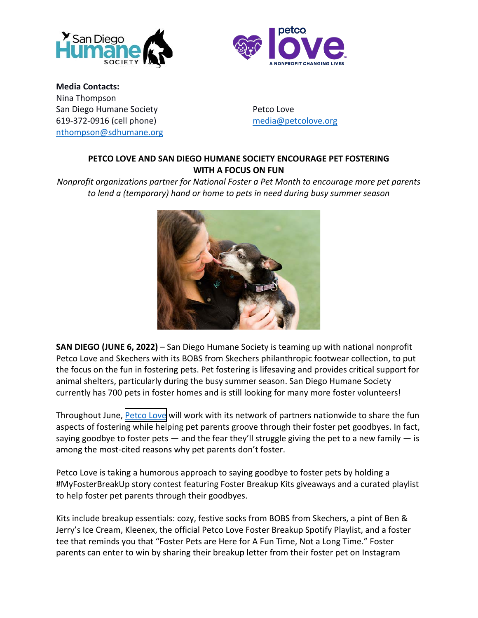



**Media Contacts:** Nina Thompson San Diego Humane Society **Petco Love** Petco Love 619-372-0916 (cell phone) media@petcolove.org nthompson@sdhumane.org

## **PETCO LOVE AND SAN DIEGO HUMANE SOCIETY ENCOURAGE PET FOSTERING WITH A FOCUS ON FUN**

*Nonprofit organizations partner for National Foster a Pet Month to encourage more pet parents to lend a (temporary) hand or home to pets in need during busy summer season*



**SAN DIEGO (JUNE 6, 2022)** – San Diego Humane Society is teaming up with national nonprofit Petco Love and Skechers with its BOBS from Skechers philanthropic footwear collection, to put the focus on the fun in fostering pets. Pet fostering is lifesaving and provides critical support for animal shelters, particularly during the busy summer season. San Diego Humane Society currently has 700 pets in foster homes and is still looking for many more foster volunteers!

Throughout June, [Petco Love](https://petcolove.org/?utm_source=prnewswire&utm_medium=referral&utm_campaign=2022_05_NFAPM) will work with its network of partners nationwide to share the fun aspects of fostering while helping pet parents groove through their foster pet goodbyes. In fact, saying goodbye to foster pets  $-$  and the fear they'll struggle giving the pet to a new family  $-$  is among the most-cited reasons why pet parents don't foster.

Petco Love is taking a humorous approach to saying goodbye to foster pets by holding a #MyFosterBreakUp story contest featuring Foster Breakup Kits giveaways and a curated playlist to help foster pet parents through their goodbyes.

Kits include breakup essentials: cozy, festive socks from BOBS from Skechers, a pint of Ben & Jerry's Ice Cream, Kleenex, the official Petco Love Foster Breakup Spotify Playlist, and a foster tee that reminds you that "Foster Pets are Here for A Fun Time, Not a Long Time." Foster parents can enter to win by sharing their breakup letter from their foster pet on Instagram